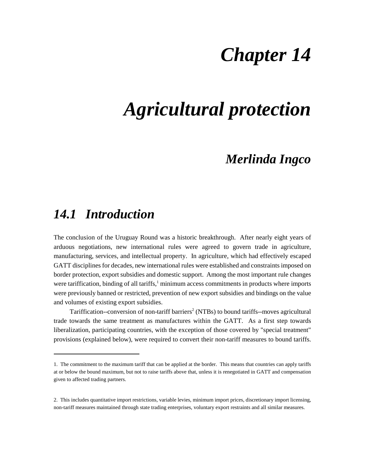# *Chapter 14*

# *Agricultural protection*

### *Merlinda Ingco*

### *14.1 Introduction*

The conclusion of the Uruguay Round was a historic breakthrough. After nearly eight years of arduous negotiations, new international rules were agreed to govern trade in agriculture, manufacturing, services, and intellectual property. In agriculture, which had effectively escaped GATT disciplines for decades, new international rules were established and constraints imposed on border protection, export subsidies and domestic support. Among the most important rule changes were tariffication, binding of all tariffs,<sup>1</sup> minimum access commitments in products where imports were previously banned or restricted, prevention of new export subsidies and bindings on the value and volumes of existing export subsidies.

Tariffication--conversion of non-tariff barriers<sup>2</sup> (NTBs) to bound tariffs--moves agricultural trade towards the same treatment as manufactures within the GATT. As a first step towards liberalization, participating countries, with the exception of those covered by "special treatment" provisions (explained below), were required to convert their non-tariff measures to bound tariffs.

<sup>1.</sup> The commitment to the maximum tariff that can be applied at the border. This means that countries can apply tariffs at or below the bound maximum, but not to raise tariffs above that, unless it is renegotiated in GATT and compensation given to affected trading partners.

<sup>2.</sup> This includes quantitative import restrictions, variable levies, minimum import prices, discretionary import licensing, non-tariff measures maintained through state trading enterprises, voluntary export restraints and all similar measures.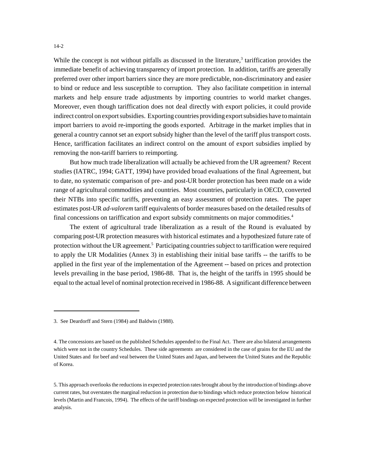While the concept is not without pitfalls as discussed in the literature,<sup>3</sup> tariffication provides the immediate benefit of achieving transparency of import protection. In addition, tariffs are generally preferred over other import barriers since they are more predictable, non-discriminatory and easier to bind or reduce and less susceptible to corruption. They also facilitate competition in internal markets and help ensure trade adjustments by importing countries to world market changes. Moreover, even though tariffication does not deal directly with export policies, it could provide indirect control on export subsidies. Exporting countries providing export subsidies have to maintain import barriers to avoid re-importing the goods exported. Arbitrage in the market implies that in general a country cannot set an export subsidy higher than the level of the tariff plus transport costs. Hence, tariffication facilitates an indirect control on the amount of export subsidies implied by removing the non-tariff barriers to reimporting.

But how much trade liberalization will actually be achieved from the UR agreement? Recent studies (IATRC, 1994; GATT, 1994) have provided broad evaluations of the final Agreement, but to date, no systematic comparison of pre- and post-UR border protection has been made on a wide range of agricultural commodities and countries. Most countries, particularly in OECD, converted their NTBs into specific tariffs, preventing an easy assessment of protection rates. The paper estimates post-UR *ad*-*valorem* tariff equivalents of border measures based on the detailed results of final concessions on tariffication and export subsidy commitments on major commodities.4

The extent of agricultural trade liberalization as a result of the Round is evaluated by comparing post-UR protection measures with historical estimates and a hypothesized future rate of protection without the UR agreement.<sup>5</sup> Participating countries subject to tariffication were required to apply the UR Modalities (Annex 3) in establishing their initial base tariffs -- the tariffs to be applied in the first year of the implementation of the Agreement -- based on prices and protection levels prevailing in the base period, 1986-88. That is, the height of the tariffs in 1995 should be equal to the actual level of nominal protection received in 1986-88. A significant difference between

<sup>3.</sup> See Deardorff and Stern (1984) and Baldwin (1988).

<sup>4.</sup> The concessions are based on the published Schedules appended to the Final Act. There are also bilateral arrangements which were not in the country Schedules. These side agreements are considered in the case of grains for the EU and the United States and for beef and veal between the United States and Japan, and between the United States and the Republic of Korea.

<sup>5.</sup> This approach overlooks the reductions in expected protection rates brought about by the introduction of bindings above current rates, but overstates the marginal reduction in protection due to bindings which reduce protection below historical levels (Martin and Francois, 1994). The effects of the tariff bindings on expected protection will be investigated in further analysis.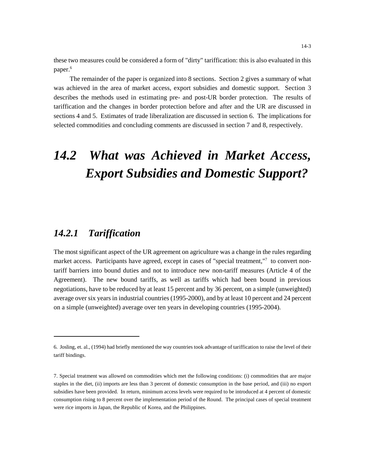these two measures could be considered a form of "dirty" tariffication: this is also evaluated in this paper.<sup>6</sup>

The remainder of the paper is organized into 8 sections. Section 2 gives a summary of what was achieved in the area of market access, export subsidies and domestic support. Section 3 describes the methods used in estimating pre- and post-UR border protection. The results of tariffication and the changes in border protection before and after and the UR are discussed in sections 4 and 5. Estimates of trade liberalization are discussed in section 6. The implications for selected commodities and concluding comments are discussed in section 7 and 8, respectively.

# *14.2 What was Achieved in Market Access, Export Subsidies and Domestic Support?*

#### *14.2.1 Tariffication*

The most significant aspect of the UR agreement on agriculture was a change in the rules regarding market access. Participants have agreed, except in cases of "special treatment,"<sup>7</sup> to convert nontariff barriers into bound duties and not to introduce new non-tariff measures (Article 4 of the Agreement). The new bound tariffs, as well as tariffs which had been bound in previous negotiations, have to be reduced by at least 15 percent and by 36 percent, on a simple (unweighted) average over six years in industrial countries (1995-2000), and by at least 10 percent and 24 percent on a simple (unweighted) average over ten years in developing countries (1995-2004).

<sup>6.</sup> Josling, et. al., (1994) had briefly mentioned the way countries took advantage of tariffication to raise the level of their tariff bindings.

<sup>7.</sup> Special treatment was allowed on commodities which met the following conditions: (i) commodities that are major staples in the diet, (ii) imports are less than 3 percent of domestic consumption in the base period, and (iii) no export subsidies have been provided. In return, minimum access levels were required to be introduced at 4 percent of domestic consumption rising to 8 percent over the implementation period of the Round. The principal cases of special treatment were rice imports in Japan, the Republic of Korea, and the Philippines.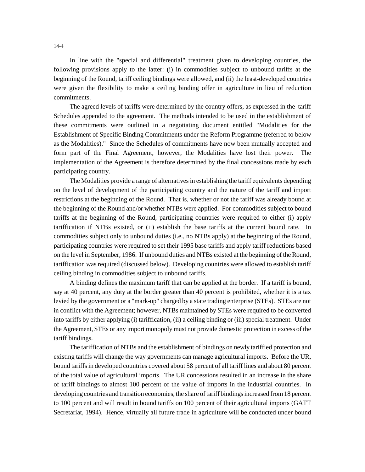In line with the "special and differential" treatment given to developing countries, the following provisions apply to the latter: (i) in commodities subject to unbound tariffs at the beginning of the Round, tariff ceiling bindings were allowed, and (ii) the least-developed countries were given the flexibility to make a ceiling binding offer in agriculture in lieu of reduction commitments.

The agreed levels of tariffs were determined by the country offers, as expressed in the tariff Schedules appended to the agreement. The methods intended to be used in the establishment of these commitments were outlined in a negotiating document entitled "Modalities for the Establishment of Specific Binding Commitments under the Reform Programme (referred to below as the Modalities)." Since the Schedules of commitments have now been mutually accepted and form part of the Final Agreement, however, the Modalities have lost their power. The implementation of the Agreement is therefore determined by the final concessions made by each participating country.

The Modalities provide a range of alternatives in establishing the tariff equivalents depending on the level of development of the participating country and the nature of the tariff and import restrictions at the beginning of the Round. That is, whether or not the tariff was already bound at the beginning of the Round and/or whether NTBs were applied. For commodities subject to bound tariffs at the beginning of the Round, participating countries were required to either (i) apply tariffication if NTBs existed, or (ii) establish the base tariffs at the current bound rate. In commodities subject only to unbound duties (i.e., no NTBs apply) at the beginning of the Round, participating countries were required to set their 1995 base tariffs and apply tariff reductions based on the level in September, 1986. If unbound duties and NTBs existed at the beginning of the Round, tariffication was required (discussed below). Developing countries were allowed to establish tariff ceiling binding in commodities subject to unbound tariffs.

A binding defines the maximum tariff that can be applied at the border. If a tariff is bound, say at 40 percent, any duty at the border greater than 40 percent is prohibited, whether it is a tax levied by the government or a "mark-up" charged by a state trading enterprise (STEs). STEs are not in conflict with the Agreement; however, NTBs maintained by STEs were required to be converted into tariffs by either applying (i) tariffication, (ii) a ceiling binding or (iii) special treatment. Under the Agreement, STEs or any import monopoly must not provide domestic protection in excess of the tariff bindings.

The tariffication of NTBs and the establishment of bindings on newly tariffied protection and existing tariffs will change the way governments can manage agricultural imports. Before the UR, bound tariffs in developed countries covered about 58 percent of all tariff lines and about 80 percent of the total value of agricultural imports. The UR concessions resulted in an increase in the share of tariff bindings to almost 100 percent of the value of imports in the industrial countries. In developing countries and transition economies, the share of tariff bindings increased from 18 percent to 100 percent and will result in bound tariffs on 100 percent of their agricultural imports (GATT Secretariat, 1994). Hence, virtually all future trade in agriculture will be conducted under bound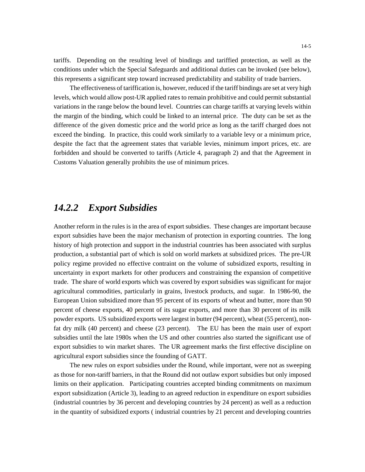tariffs. Depending on the resulting level of bindings and tariffied protection, as well as the conditions under which the Special Safeguards and additional duties can be invoked (see below), this represents a significant step toward increased predictability and stability of trade barriers.

The effectiveness of tariffication is, however, reduced if the tariff bindings are set at very high levels, which would allow post-UR applied rates to remain prohibitive and could permit substantial variations in the range below the bound level. Countries can charge tariffs at varying levels within the margin of the binding, which could be linked to an internal price. The duty can be set as the difference of the given domestic price and the world price as long as the tariff charged does not exceed the binding. In practice, this could work similarly to a variable levy or a minimum price, despite the fact that the agreement states that variable levies, minimum import prices, etc. are forbidden and should be converted to tariffs (Article 4, paragraph 2) and that the Agreement in Customs Valuation generally prohibits the use of minimum prices.

#### *14.2.2 Export Subsidies*

Another reform in the rules is in the area of export subsidies. These changes are important because export subsidies have been the major mechanism of protection in exporting countries. The long history of high protection and support in the industrial countries has been associated with surplus production, a substantial part of which is sold on world markets at subsidized prices. The pre-UR policy regime provided no effective contraint on the volume of subsidized exports, resulting in uncertainty in export markets for other producers and constraining the expansion of competitive trade. The share of world exports which was covered by export subsidies was significant for major agricultural commodities, particularly in grains, livestock products, and sugar. In 1986-90, the European Union subsidized more than 95 percent of its exports of wheat and butter, more than 90 percent of cheese exports, 40 percent of its sugar exports, and more than 30 percent of its milk powder exports. US subsidized exports were largest in butter (94 percent), wheat (55 percent), nonfat dry milk (40 percent) and cheese (23 percent). The EU has been the main user of export subsidies until the late 1980s when the US and other countries also started the significant use of export subsidies to win market shares. The UR agreement marks the first effective discipline on agricultural export subsidies since the founding of GATT.

The new rules on export subsidies under the Round, while important, were not as sweeping as those for non-tariff barriers, in that the Round did not outlaw export subsidies but only imposed limits on their application. Participating countries accepted binding commitments on maximum export subsidization (Article 3), leading to an agreed reduction in expenditure on export subsidies (industrial countries by 36 percent and developing countries by 24 percent) as well as a reduction in the quantity of subsidized exports ( industrial countries by 21 percent and developing countries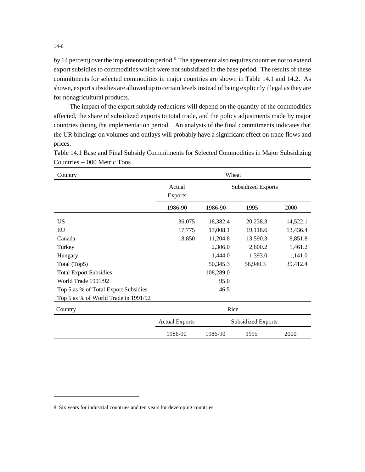by 14 percent) over the implementation period.<sup>8</sup> The agreement also requires countries not to extend export subsidies to commodities which were not subsidized in the base period. The results of these commitments for selected commodities in major countries are shown in Table 14.1 and 14.2. As shown, export subsidies are allowed up to certain levels instead of being explicitly illegal as they are for nonagricultural products.

The impact of the export subsidy reductions will depend on the quantity of the commodities affected, the share of subsidized exports to total trade, and the policy adjustments made by major countries during the implementation period. An analysis of the final commitments indicates that the UR bindings on volumes and outlays will probably have a significant effect on trade flows and prices.

| Country                              |                          |           | Wheat                     |          |
|--------------------------------------|--------------------------|-----------|---------------------------|----------|
|                                      | Actual<br><b>Exports</b> |           | <b>Subsidized Exports</b> |          |
|                                      | 1986-90                  | 1986-90   | 1995                      | 2000     |
| US.                                  | 36,075                   | 18,382.4  | 20,238.3                  | 14,522.1 |
| EU                                   | 17,775                   | 17,008.1  | 19,118.6                  | 13,436.4 |
| Canada                               | 18,850                   | 11,204.8  | 13,590.3                  | 8,851.8  |
| Turkey                               |                          | 2,306.0   | 2,600.2                   | 1,461.2  |
| Hungary                              |                          | 1,444.0   | 1,393.0                   | 1,141.0  |
| Total (Top5)                         |                          | 50,345.3  | 56,940.3                  | 39,412.4 |
| <b>Total Export Subsidies</b>        |                          | 108,289.0 |                           |          |
| World Trade 1991/92                  |                          | 95.0      |                           |          |
| Top 5 as % of Total Export Subsidies |                          | 46.5      |                           |          |
| Top 5 as % of World Trade in 1991/92 |                          |           |                           |          |
| Country                              |                          |           | Rice                      |          |
|                                      | <b>Actual Exports</b>    |           | <b>Subsidized Exports</b> |          |
|                                      | 1986-90                  | 1986-90   | 1995                      | 2000     |

Table 14.1 Base and Final Subsidy Commitments for Selected Commodities in Major Subsidizing Countries -- 000 Metric Tons  $\overline{\phantom{0}}$ 

<sup>8.</sup> Six years for industrial countries and ten years for developing countries.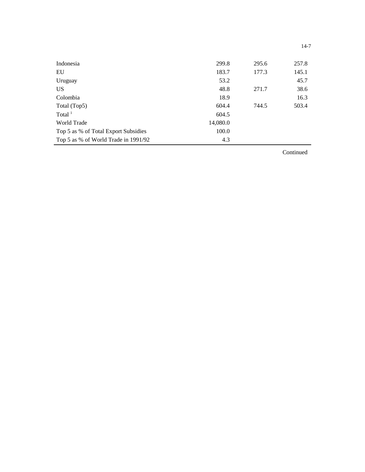| Indonesia                            | 299.8    | 295.6 | 257.8 |
|--------------------------------------|----------|-------|-------|
| EU                                   | 183.7    | 177.3 | 145.1 |
| Uruguay                              | 53.2     |       | 45.7  |
| US <sup>-</sup>                      | 48.8     | 271.7 | 38.6  |
| Colombia                             | 18.9     |       | 16.3  |
| Total (Top5)                         | 604.4    | 744.5 | 503.4 |
| Total $1$                            | 604.5    |       |       |
| <b>World Trade</b>                   | 14,080.0 |       |       |
| Top 5 as % of Total Export Subsidies | 100.0    |       |       |
| Top 5 as % of World Trade in 1991/92 | 4.3      |       |       |
|                                      |          |       |       |

Continued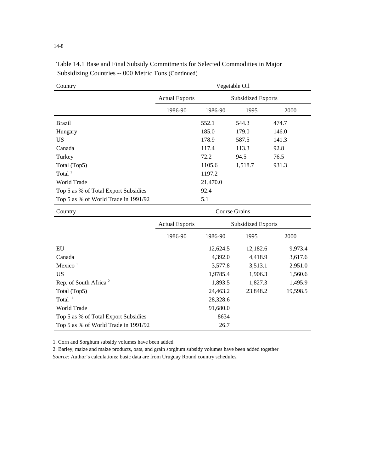| Country                              | Vegetable Oil         |                           |                           |          |
|--------------------------------------|-----------------------|---------------------------|---------------------------|----------|
|                                      | <b>Actual Exports</b> |                           | <b>Subsidized Exports</b> |          |
|                                      | 1986-90               | 1986-90                   | 1995                      | 2000     |
| <b>Brazil</b>                        |                       | 552.1                     | 544.3                     | 474.7    |
| Hungary                              |                       | 185.0                     | 179.0                     | 146.0    |
| <b>US</b>                            |                       | 178.9                     | 587.5                     | 141.3    |
| Canada                               |                       | 117.4                     | 113.3                     | 92.8     |
| Turkey                               |                       | 72.2                      | 94.5                      | 76.5     |
| Total (Top5)                         |                       | 1105.6                    | 1,518.7                   | 931.3    |
| Total $1$                            |                       | 1197.2                    |                           |          |
| World Trade                          |                       | 21,470.0                  |                           |          |
| Top 5 as % of Total Export Subsidies |                       | 92.4                      |                           |          |
| Top 5 as % of World Trade in 1991/92 |                       | 5.1                       |                           |          |
| Country                              | <b>Course Grains</b>  |                           |                           |          |
|                                      | <b>Actual Exports</b> | <b>Subsidized Exports</b> |                           |          |
|                                      | 1986-90               | 1986-90                   | 1995                      | 2000     |
| EU                                   |                       | 12,624.5                  | 12,182.6                  | 9,973.4  |
| Canada                               |                       | 4,392.0                   | 4,418.9                   | 3,617.6  |
| Mexico $1$                           |                       | 3,577.8                   | 3,513.1                   | 2.951.0  |
| <b>US</b>                            |                       | 1,9785.4                  | 1,906.3                   | 1,560.6  |
| Rep. of South Africa <sup>2</sup>    |                       | 1,893.5                   | 1,827.3                   | 1,495.9  |
| Total (Top5)                         |                       | 24,463.2                  | 23.848.2                  | 19,598.5 |
| Total $1$                            |                       | 28,328.6                  |                           |          |

91,680.0 8634 26.7

Table 14.1 Base and Final Subsidy Commitments for Selected Commodities in Major Subsidizing Countries -- 000 Metric Tons (Continued)

1. Corn and Sorghum subsidy volumes have been added

Top 5 as % of Total Export Subsidies Top 5 as % of World Trade in 1991/92

World Trade

2. Barley, maize and maize products, oats, and grain sorghum subsidy volumes have been added together *Source:* Author's calculations; basic data are from Uruguay Round country schedules.

14-8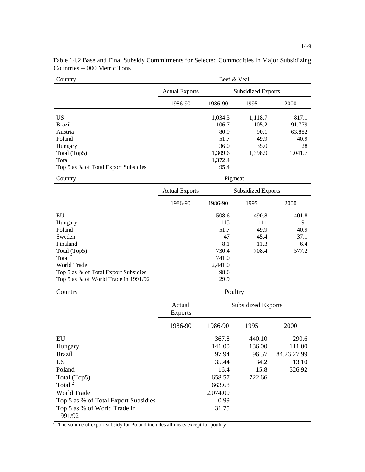| Country                                 | Beef & Veal           |                           |                           |             |
|-----------------------------------------|-----------------------|---------------------------|---------------------------|-------------|
|                                         | <b>Actual Exports</b> |                           | <b>Subsidized Exports</b> |             |
|                                         | 1986-90               | 1986-90                   | 1995                      | 2000        |
| <b>US</b>                               |                       | 1,034.3                   | 1,118.7                   | 817.1       |
| <b>Brazil</b>                           |                       | 106.7                     | 105.2                     | 91.779      |
| Austria                                 |                       | 80.9                      | 90.1                      | 63.882      |
| Poland                                  |                       | 51.7                      | 49.9                      | 40.9        |
| Hungary                                 |                       | 36.0                      | 35.0                      | 28          |
| Total (Top5)                            |                       | 1,309.6                   | 1,398.9                   | 1,041.7     |
| Total                                   |                       | 1,372.4                   |                           |             |
| Top 5 as % of Total Export Subsidies    |                       | 95.4                      |                           |             |
| Country                                 |                       |                           | Pigmeat                   |             |
|                                         | <b>Actual Exports</b> |                           | <b>Subsidized Exports</b> |             |
|                                         | 1986-90               | 1986-90                   | 1995                      | 2000        |
| EU                                      |                       | 508.6                     | 490.8                     | 401.8       |
| Hungary                                 |                       | 115                       | 111                       | 91          |
| Poland                                  |                       | 51.7                      | 49.9                      | 40.9        |
| Sweden                                  |                       | 47                        | 45.4                      | 37.1        |
| Finaland                                |                       | 8.1                       | 11.3                      | 6.4         |
| Total (Top5)                            |                       | 730.4                     | 708.4                     | 577.2       |
| Total <sup>2</sup>                      |                       | 741.0                     |                           |             |
| World Trade                             |                       | 2,441.0                   |                           |             |
| Top 5 as % of Total Export Subsidies    |                       | 98.6                      |                           |             |
| Top 5 as % of World Trade in 1991/92    |                       | 29.9                      |                           |             |
| Country                                 |                       |                           | Poultry                   |             |
|                                         | Actual                | <b>Subsidized Exports</b> |                           |             |
|                                         | <b>Exports</b>        |                           |                           |             |
|                                         | 1986-90               | 1986-90                   | 1995                      | 2000        |
| EU                                      |                       | 367.8                     | 440.10                    | 290.6       |
| Hungary                                 |                       | 141.00                    | 136.00                    | 111.00      |
| <b>Brazil</b>                           |                       | 97.94                     | 96.57                     | 84.23.27.99 |
| <b>US</b>                               |                       | 35.44                     | 34.2                      | 13.10       |
| Poland                                  |                       | 16.4                      | 15.8                      | 526.92      |
| Total (Top5)                            |                       | 658.57                    | 722.66                    |             |
| Total <sup>2</sup>                      |                       | 663.68                    |                           |             |
| World Trade                             |                       | 2,074.00                  |                           |             |
| Top 5 as % of Total Export Subsidies    |                       | 0.99                      |                           |             |
| Top 5 as % of World Trade in<br>1991/92 |                       | 31.75                     |                           |             |
|                                         |                       |                           |                           |             |

Table 14.2 Base and Final Subsidy Commitments for Selected Commodities in Major Subsidizing Countries -- 000 Metric Tons

1. The volume of export subsidy for Poland includes all meats except for poultry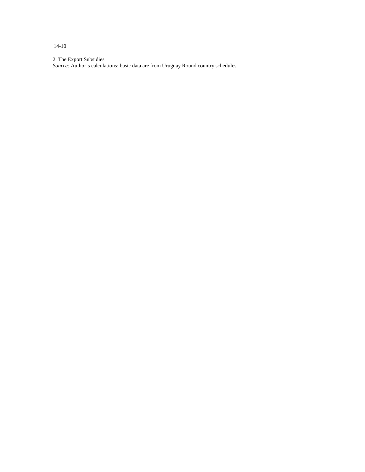14-10

2. The Export Subsidies

*Source:* Author's calculations; basic data are from Uruguay Round country schedules.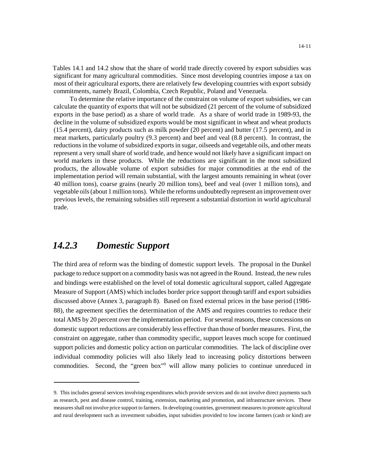Tables 14.1 and 14.2 show that the share of world trade directly covered by export subsidies was significant for many agricultural commodities. Since most developing countries impose a tax on most of their agricultural exports, there are relatively few developing countries with export subsidy commitments, namely Brazil, Colombia, Czech Republic, Poland and Venezuela.

To determine the relative importance of the constraint on volume of export subsidies, we can calculate the quantity of exports that will not be subsidized (21 percent of the volume of subsidized exports in the base period) as a share of world trade. As a share of world trade in 1989-93, the decline in the volume of subsidized exports would be most significant in wheat and wheat products (15.4 percent), dairy products such as milk powder (20 percent) and butter (17.5 percent), and in meat markets, particularly poultry (9.3 percent) and beef and veal (8.8 percent). In contrast, the reductions in the volume of subsidized exports in sugar, oilseeds and vegetable oils, and other meats represent a very small share of world trade, and hence would not likely have a significant impact on world markets in these products. While the reductions are significant in the most subsidized products, the allowable volume of export subsidies for major commodities at the end of the implementation period will remain substantial, with the largest amounts remaining in wheat (over 40 million tons), coarse grains (nearly 20 million tons), beef and veal (over 1 million tons), and vegetable oils (about 1 million tons). While the reforms undoubtedly represent an improvement over previous levels, the remaining subsidies still represent a substantial distortion in world agricultural trade.

#### *14.2.3 Domestic Support*

The third area of reform was the binding of domestic support levels. The proposal in the Dunkel package to reduce support on a commodity basis was not agreed in the Round. Instead, the new rules and bindings were established on the level of total domestic agricultural support, called Aggregate Measure of Support (AMS) which includes border price support through tariff and export subsidies discussed above (Annex 3, paragraph 8). Based on fixed external prices in the base period (1986- 88), the agreement specifies the determination of the AMS and requires countries to reduce their total AMS by 20 percent over the implementation period. For several reasons, these concessions on domestic support reductions are considerably less effective than those of border measures. First, the constraint on aggregate, rather than commodity specific, support leaves much scope for continued support policies and domestic policy action on particular commodities. The lack of discipline over individual commodity policies will also likely lead to increasing policy distortions between commodities. Second, the "green box"<sup>9</sup> will allow many policies to continue unreduced in

<sup>9.</sup> This includes general services involving expenditures which provide services and do not involve direct payments such as research, pest and disease control, training, extension, marketing and promotion, and infrastructure services. These measures shall not involve price support to farmers. In developing countries, government measures to promote agricultural and rural development such as investment subsidies, input subsidies provided to low income farmers (cash or kind) are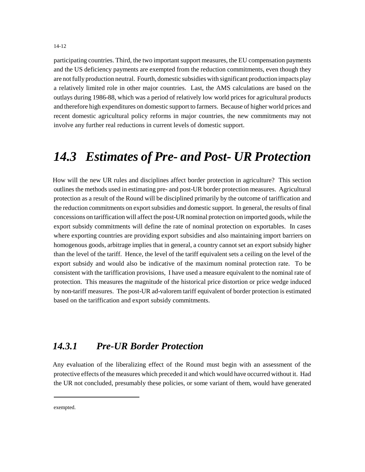14-12

participating countries. Third, the two important support measures, the EU compensation payments and the US deficiency payments are exempted from the reduction commitments, even though they are not fully production neutral. Fourth, domestic subsidies with significant production impacts play a relatively limited role in other major countries. Last, the AMS calculations are based on the outlays during 1986-88, which was a period of relatively low world prices for agricultural products and therefore high expenditures on domestic support to farmers. Because of higher world prices and recent domestic agricultural policy reforms in major countries, the new commitments may not involve any further real reductions in current levels of domestic support.

## *14.3 Estimates of Pre- and Post- UR Protection*

How will the new UR rules and disciplines affect border protection in agriculture? This section outlines the methods used in estimating pre- and post-UR border protection measures. Agricultural protection as a result of the Round will be disciplined primarily by the outcome of tariffication and the reduction commitments on export subsidies and domestic support. In general, the results of final concessions on tariffication will affect the post-UR nominal protection on imported goods, while the export subsidy commitments will define the rate of nominal protection on exportables. In cases where exporting countries are providing export subsidies and also maintaining import barriers on homogenous goods, arbitrage implies that in general, a country cannot set an export subsidy higher than the level of the tariff. Hence, the level of the tariff equivalent sets a ceiling on the level of the export subsidy and would also be indicative of the maximum nominal protection rate. To be consistent with the tariffication provisions, I have used a measure equivalent to the nominal rate of protection. This measures the magnitude of the historical price distortion or price wedge induced by non-tariff measures. The post-UR ad-valorem tariff equivalent of border protection is estimated based on the tariffication and export subsidy commitments.

#### *14.3.1 Pre-UR Border Protection*

Any evaluation of the liberalizing effect of the Round must begin with an assessment of the protective effects of the measures which preceded it and which would have occurred without it. Had the UR not concluded, presumably these policies, or some variant of them, would have generated

exempted.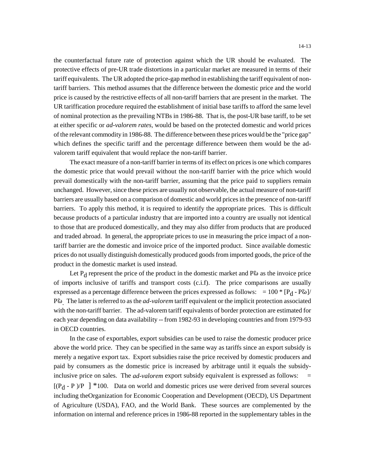the counterfactual future rate of protection against which the UR should be evaluated. The protective effects of pre-UR trade distortions in a particular market are measured in terms of their tariff equivalents. The UR adopted the price-gap method in establishing the tariff equivalent of nontariff barriers. This method assumes that the difference between the domestic price and the world price is caused by the restrictive effects of all non-tariff barriers that are present in the market. The UR tariffication procedure required the establishment of initial base tariffs to afford the same level of nominal protection as the prevailing NTBs in 1986-88. That is, the post-UR base tariff, to be set at either specific or *ad-valorem rates,* would be based on the protected domestic and world prices of the relevant commodity in 1986-88. The difference between these prices would be the "price gap" which defines the specific tariff and the percentage difference between them would be the advalorem tariff equivalent that would replace the non-tariff barrier.

The exact measure of a non-tariff barrier in terms of its effect on prices is one which compares the domestic price that would prevail without the non-tariff barrier with the price which would prevail domestically with the non-tariff barrier, assuming that the price paid to suppliers remain unchanged. However, since these prices are usually not observable, the actual measure of non-tariff barriers are usually based on a comparison of domestic and world prices in the presence of non-tariff barriers. To apply this method, it is required to identify the appropriate prices. This is difficult because products of a particular industry that are imported into a country are usually not identical to those that are produced domestically, and they may also differ from products that are produced and traded abroad. In general, the appropriate prices to use in measuring the price impact of a nontariff barrier are the domestic and invoice price of the imported product. Since available domestic prices do not usually distinguish domestically produced goods from imported goods, the price of the product in the domestic market is used instead.

Let  $P_d$  represent the price of the product in the domestic market and  $P\omega$  as the invoice price of imports inclusive of tariffs and transport costs (c.i.f). The price comparisons are usually expressed as a percentage difference between the prices expressed as follows:  $= 100 * [P_d - P\omega]$ / P<sup>6</sup>. The latter is referred to as the *ad-valorem* tariff equivalent or the implicit protection associated with the non-tariff barrier. The ad-valorem tariff equivalents of border protection are estimated for each year depending on data availability -- from 1982-93 in developing countries and from 1979-93 in OECD countries.

In the case of exportables, export subsidies can be used to raise the domestic producer price above the world price. They can be specified in the same way as tariffs since an export subsidy is merely a negative export tax. Export subsidies raise the price received by domestic producers and paid by consumers as the domestic price is increased by arbitrage until it equals the subsidyinclusive price on sales. The *ad-valorem* export subsidy equivalent is expressed as follows:  $[(P_d - P)/P]$  \*100. Data on world and domestic prices use were derived from several sources including theOrganization for Economic Cooperation and Development (OECD), US Department of Agriculture (USDA), FAO, and the World Bank. These sources are complemented by the information on internal and reference prices in 1986-88 reported in the supplementary tables in the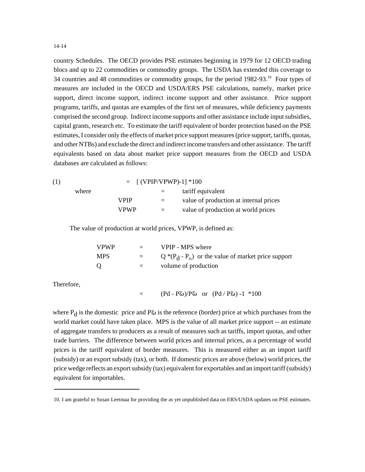country Schedules. The OECD provides PSE estimates beginning in 1979 for 12 OECD trading blocs and up to 22 commodities or commodity groups. The USDA has extended this coverage to 34 countries and 48 commodities or commodity groups, for the period 1982-93.<sup>10</sup> Four types of measures are included in the OECD and USDA/ERS PSE calculations, namely, market price support, direct income support, indirect income support and other assistance. Price support programs, tariffs, and quotas are examples of the first set of measures, while deficiency payments comprised the second group. Indirect income supports and other assistance include input subsidies, capital grants, research etc. To estimate the tariff equivalent of border protection based on the PSE estimates, I consider only the effects of market price support measures (price support, tariffs, quotas, and other NTBs) and exclude the direct and indirect income transfers and other assistance. The tariff equivalents based on data about market price support measures from the OECD and USDA databases are calculated as follows:

| (1) |       | $=$ [(VPIP/VPWP)-1] *100 |     |                                        |
|-----|-------|--------------------------|-----|----------------------------------------|
|     | where |                          | $=$ | tariff equivalent                      |
|     |       | VPIP                     | $=$ | value of production at internal prices |
|     |       | <b>VPWP</b>              | $=$ | value of production at world prices    |

The value of production at world prices, VPWP, is defined as:

| VPWP- | $\equiv$ $\equiv$ | VPIP - MPS where                                      |
|-------|-------------------|-------------------------------------------------------|
| MPS   | $=$ $-$           | $Q^*(P_d - P_a)$ or the value of market price support |
| Q     | $=$ $-$           | volume of production                                  |

Therefore,

 $=$  (Pd - P $\omega$ )/P $\omega$  or (Pd / P $\omega$ ) -1 \*100

where  $P_d$  is the domestic price and P $\omega$  is the reference (border) price at which purchases from the world market could have taken place. MPS is the value of all market price support -- an estimate of aggregate transfers to producers as a result of measures such as tariffs, import quotas, and other trade barriers. The difference between world prices and internal prices, as a percentage of world prices is the tariff equivalent of border measures. This is measured either as an import tariff (subsidy) or an export subsidy (tax), or both. If domestic prices are above (below) world prices, the price wedge reflects an export subsidy (tax) equivalent for exportables and an import tariff (subsidy) equivalent for importables.

<sup>10.</sup> I am grateful to Susan Leetmaa for providing the as yet unpublished data on ERS/USDA updates on PSE estimates.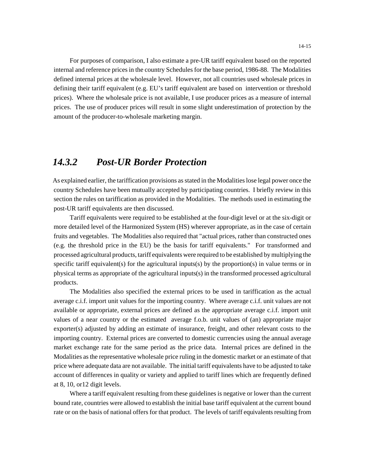For purposes of comparison, I also estimate a pre-UR tariff equivalent based on the reported internal and reference prices in the country Schedules for the base period, 1986-88. The Modalities defined internal prices at the wholesale level. However, not all countries used wholesale prices in defining their tariff equivalent (e.g. EU's tariff equivalent are based on intervention or threshold prices). Where the wholesale price is not available, I use producer prices as a measure of internal prices. The use of producer prices will result in some slight underestimation of protection by the amount of the producer-to-wholesale marketing margin.

#### *14.3.2 Post-UR Border Protection*

As explained earlier, the tariffication provisions as stated in the Modalities lose legal power once the country Schedules have been mutually accepted by participating countries. I briefly review in this section the rules on tariffication as provided in the Modalities. The methods used in estimating the post-UR tariff equivalents are then discussed.

Tariff equivalents were required to be established at the four-digit level or at the six-digit or more detailed level of the Harmonized System (HS) wherever appropriate, as in the case of certain fruits and vegetables. The Modalities also required that "actual prices, rather than constructed ones (e.g. the threshold price in the EU) be the basis for tariff equivalents." For transformed and processed agricultural products, tariff equivalents were required to be established by multiplying the specific tariff equivalent(s) for the agricultural inputs(s) by the proportion(s) in value terms or in physical terms as appropriate of the agricultural inputs(s) in the transformed processed agricultural products.

The Modalities also specified the external prices to be used in tariffication as the actual average c.i.f. import unit values for the importing country. Where average c.i.f. unit values are not available or appropriate, external prices are defined as the appropriate average c.i.f. import unit values of a near country or the estimated average f.o.b. unit values of (an) appropriate major exporter(s) adjusted by adding an estimate of insurance, freight, and other relevant costs to the importing country. External prices are converted to domestic currencies using the annual average market exchange rate for the same period as the price data. Internal prices are defined in the Modalities as the representative wholesale price ruling in the domestic market or an estimate of that price where adequate data are not available. The initial tariff equivalents have to be adjusted to take account of differences in quality or variety and applied to tariff lines which are frequently defined at 8, 10, or12 digit levels.

Where a tariff equivalent resulting from these guidelines is negative or lower than the current bound rate, countries were allowed to establish the initial base tariff equivalent at the current bound rate or on the basis of national offers for that product. The levels of tariff equivalents resulting from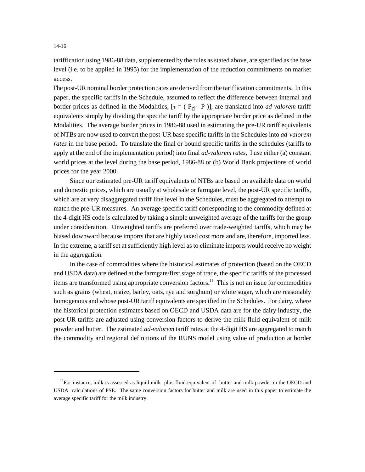tariffication using 1986-88 data, supplemented by the rules as stated above, are specified as the base level (i.e. to be applied in 1995) for the implementation of the reduction commitments on market access.

The post-UR nominal border protection rates are derived from the tariffication commitments. In this paper, the specific tariffs in the Schedule, assumed to reflect the difference between internal and border prices as defined in the Modalities,  $[\tau = (P_d - P)]$ , are translated into *ad-valorem* tariff equivalents simply by dividing the specific tariff by the appropriate border price as defined in the Modalities. The average border prices in 1986-88 used in estimating the pre-UR tariff equivalents of NTBs are now used to convert the post-UR base specific tariffs in the Schedules into *ad-valorem rates* in the base period. To translate the final or bound specific tariffs in the schedules (tariffs to apply at the end of the implementation period) into final *ad-valorem rates,* I use either (a) constant world prices at the level during the base period, 1986-88 or (b) World Bank projections of world prices for the year 2000.

Since our estimated pre-UR tariff equivalents of NTBs are based on available data on world and domestic prices, which are usually at wholesale or farmgate level, the post-UR specific tariffs, which are at very disaggregated tariff line level in the Schedules, must be aggregated to attempt to match the pre-UR measures. An average specific tariff corresponding to the commodity defined at the 4-digit HS code is calculated by taking a simple unweighted average of the tariffs for the group under consideration. Unweighted tariffs are preferred over trade-weighted tariffs, which may be biased downward because imports that are highly taxed cost more and are, therefore, imported less. In the extreme, a tariff set at sufficiently high level as to eliminate imports would receive no weight in the aggregation.

In the case of commodities where the historical estimates of protection (based on the OECD and USDA data) are defined at the farmgate/first stage of trade, the specific tariffs of the processed items are transformed using appropriate conversion factors.<sup>11</sup> This is not an issue for commodities such as grains (wheat, maize, barley, oats, rye and sorghum) or white sugar, which are reasonably homogenous and whose post-UR tariff equivalents are specified in the Schedules. For dairy, where the historical protection estimates based on OECD and USDA data are for the dairy industry, the post-UR tariffs are adjusted using conversion factors to derive the milk fluid equivalent of milk powder and butter. The estimated *ad-valorem* tariff rates at the 4-digit HS are aggregated to match the commodity and regional definitions of the RUNS model using value of production at border

14-16

 $<sup>11</sup>$ For instance, milk is assessed as liquid milk plus fluid equivalent of butter and milk powder in the OECD and</sup> USDA calculations of PSE. The same conversion factors for butter and milk are used in this paper to estimate the average specific tariff for the milk industry.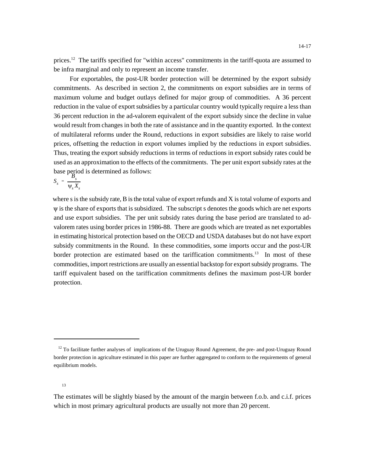For exportables, the post-UR border protection will be determined by the export subsidy commitments. As described in section 2, the commitments on export subsidies are in terms of maximum volume and budget outlays defined for major group of commodities. A 36 percent reduction in the value of export subsidies by a particular country would typically require a less than 36 percent reduction in the ad-valorem equivalent of the export subsidy since the decline in value would result from changes in both the rate of assistance and in the quantity exported. In the context of multilateral reforms under the Round, reductions in export subsidies are likely to raise world prices, offsetting the reduction in export volumes implied by the reductions in export subsidies. Thus, treating the export subsidy reductions in terms of reductions in export subsidy rates could be used as an approximation to the effects of the commitments. The per unit export subsidy rates at the base period is determined as follows:<br> $S_s = \frac{B_s}{W V}$ 

$$
S_s = \frac{B_s}{\Psi_s X_s}
$$

where s is the subsidy rate, B is the total value of export refunds and X is total volume of exports and  $\psi$  is the share of exports that is subsidized. The subscript s denotes the goods which are net exports and use export subsidies. The per unit subsidy rates during the base period are translated to advalorem rates using border prices in 1986-88. There are goods which are treated as net exportables in estimating historical protection based on the OECD and USDA databases but do not have export subsidy commitments in the Round. In these commodities, some imports occur and the post-UR border protection are estimated based on the tariffication commitments.<sup>13</sup> In most of these commodities, import restrictions are usually an essential backstop for export subsidy programs. The tariff equivalent based on the tariffication commitments defines the maximum post-UR border protection.

 $12$  To facilitate further analyses of implications of the Uruguay Round Agreement, the pre- and post-Uruguay Round border protection in agriculture estimated in this paper are further aggregated to conform to the requirements of general equilibrium models.

<sup>13</sup>

The estimates will be slightly biased by the amount of the margin between f.o.b. and c.i.f. prices which in most primary agricultural products are usually not more than 20 percent.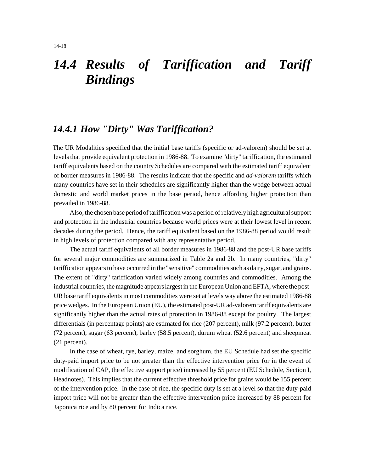## *14.4 Results of Tariffication and Tariff Bindings*

#### *14.4.1 How "Dirty" Was Tariffication?*

The UR Modalities specified that the initial base tariffs (specific or ad-valorem) should be set at levels that provide equivalent protection in 1986-88. To examine "dirty" tariffication, the estimated tariff equivalents based on the country Schedules are compared with the estimated tariff equivalent of border measures in 1986-88. The results indicate that the specific and *ad-valorem* tariffs which many countries have set in their schedules are significantly higher than the wedge between actual domestic and world market prices in the base period, hence affording higher protection than prevailed in 1986-88.

Also, the chosen base period of tariffication was a period of relatively high agricultural support and protection in the industrial countries because world prices were at their lowest level in recent decades during the period. Hence, the tariff equivalent based on the 1986-88 period would result in high levels of protection compared with any representative period.

The actual tariff equivalents of all border measures in 1986-88 and the post-UR base tariffs for several major commodities are summarized in Table 2a and 2b. In many countries, "dirty" tariffication appears to have occurred in the "sensitive" commodities such as dairy, sugar, and grains. The extent of "dirty" tariffication varied widely among countries and commodities. Among the industrial countries, the magnitude appears largest in the European Union and EFTA, where the post-UR base tariff equivalents in most commodities were set at levels way above the estimated 1986-88 price wedges. In the European Union (EU), the estimated post-UR ad-valorem tariff equivalents are significantly higher than the actual rates of protection in 1986-88 except for poultry. The largest differentials (in percentage points) are estimated for rice (207 percent), milk (97.2 percent), butter (72 percent), sugar (63 percent), barley (58.5 percent), durum wheat (52.6 percent) and sheepmeat (21 percent).

In the case of wheat, rye, barley, maize, and sorghum, the EU Schedule had set the specific duty-paid import price to be not greater than the effective intervention price (or in the event of modification of CAP, the effective support price) increased by 55 percent (EU Schedule, Section I, Headnotes). This implies that the current effective threshold price for grains would be 155 percent of the intervention price. In the case of rice, the specific duty is set at a level so that the duty-paid import price will not be greater than the effective intervention price increased by 88 percent for Japonica rice and by 80 percent for Indica rice.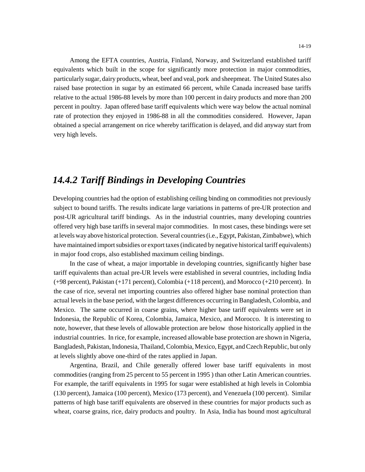Among the EFTA countries, Austria, Finland, Norway, and Switzerland established tariff equivalents which built in the scope for significantly more protection in major commodities, particularly sugar, dairy products, wheat, beef and veal, pork and sheepmeat. The United States also raised base protection in sugar by an estimated 66 percent, while Canada increased base tariffs relative to the actual 1986-88 levels by more than 100 percent in dairy products and more than 200 percent in poultry. Japan offered base tariff equivalents which were way below the actual nominal rate of protection they enjoyed in 1986-88 in all the commodities considered. However, Japan obtained a special arrangement on rice whereby tariffication is delayed, and did anyway start from very high levels.

#### *14.4.2 Tariff Bindings in Developing Countries*

Developing countries had the option of establishing ceiling binding on commodities not previously subject to bound tariffs. The results indicate large variations in patterns of pre-UR protection and post-UR agricultural tariff bindings. As in the industrial countries, many developing countries offered very high base tariffs in several major commodities. In most cases, these bindings were set at levels way above historical protection. Several countries (i.e., Egypt, Pakistan, Zimbabwe), which have maintained import subsidies or export taxes (indicated by negative historical tariff equivalents) in major food crops, also established maximum ceiling bindings.

In the case of wheat, a major importable in developing countries, significantly higher base tariff equivalents than actual pre-UR levels were established in several countries, including India (+98 percent), Pakistan (+171 percent), Colombia (+118 percent), and Morocco (+210 percent). In the case of rice, several net importing countries also offered higher base nominal protection than actual levels in the base period, with the largest differences occurring in Bangladesh, Colombia, and Mexico. The same occurred in coarse grains, where higher base tariff equivalents were set in Indonesia, the Republic of Korea, Colombia, Jamaica, Mexico, and Morocco. It is interesting to note, however, that these levels of allowable protection are below those historically applied in the industrial countries. In rice, for example, increased allowable base protection are shown in Nigeria, Bangladesh, Pakistan, Indonesia, Thailand, Colombia, Mexico, Egypt, and Czech Republic, but only at levels slightly above one-third of the rates applied in Japan.

Argentina, Brazil, and Chile generally offered lower base tariff equivalents in most commodities (ranging from 25 percent to 55 percent in 1995 ) than other Latin American countries. For example, the tariff equivalents in 1995 for sugar were established at high levels in Colombia (130 percent), Jamaica (100 percent), Mexico (173 percent), and Venezuela (100 percent). Similar patterns of high base tariff equivalents are observed in these countries for major products such as wheat, coarse grains, rice, dairy products and poultry. In Asia, India has bound most agricultural